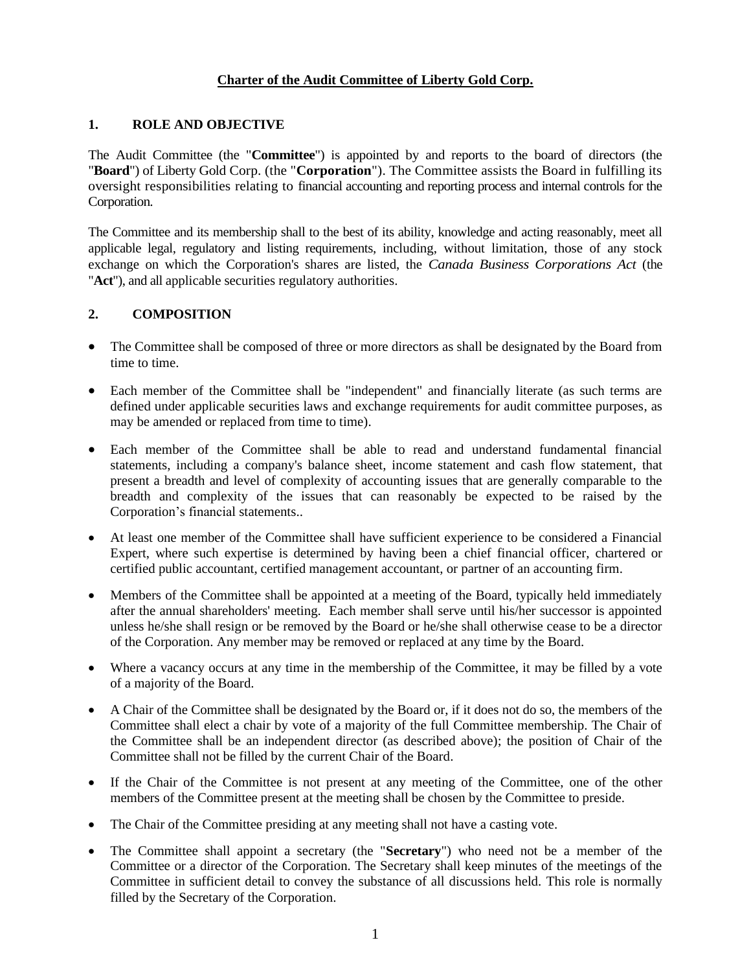# **Charter of the Audit Committee of Liberty Gold Corp.**

### **1. ROLE AND OBJECTIVE**

The Audit Committee (the "**Committee**") is appointed by and reports to the board of directors (the "**Board**") of Liberty Gold Corp. (the "**Corporation**"). The Committee assists the Board in fulfilling its oversight responsibilities relating to financial accounting and reporting process and internal controls for the Corporation.

The Committee and its membership shall to the best of its ability, knowledge and acting reasonably, meet all applicable legal, regulatory and listing requirements, including, without limitation, those of any stock exchange on which the Corporation's shares are listed, the *Canada Business Corporations Act* (the "**Act**"), and all applicable securities regulatory authorities.

# **2. COMPOSITION**

- The Committee shall be composed of three or more directors as shall be designated by the Board from time to time.
- Each member of the Committee shall be "independent" and financially literate (as such terms are defined under applicable securities laws and exchange requirements for audit committee purposes, as may be amended or replaced from time to time).
- Each member of the Committee shall be able to read and understand fundamental financial statements, including a company's balance sheet, income statement and cash flow statement, that present a breadth and level of complexity of accounting issues that are generally comparable to the breadth and complexity of the issues that can reasonably be expected to be raised by the Corporation's financial statements..
- At least one member of the Committee shall have sufficient experience to be considered a Financial Expert, where such expertise is determined by having been a chief financial officer, chartered or certified public accountant, certified management accountant, or partner of an accounting firm.
- Members of the Committee shall be appointed at a meeting of the Board, typically held immediately after the annual shareholders' meeting. Each member shall serve until his/her successor is appointed unless he/she shall resign or be removed by the Board or he/she shall otherwise cease to be a director of the Corporation. Any member may be removed or replaced at any time by the Board.
- Where a vacancy occurs at any time in the membership of the Committee, it may be filled by a vote of a majority of the Board.
- A Chair of the Committee shall be designated by the Board or, if it does not do so, the members of the Committee shall elect a chair by vote of a majority of the full Committee membership. The Chair of the Committee shall be an independent director (as described above); the position of Chair of the Committee shall not be filled by the current Chair of the Board.
- If the Chair of the Committee is not present at any meeting of the Committee, one of the other members of the Committee present at the meeting shall be chosen by the Committee to preside.
- The Chair of the Committee presiding at any meeting shall not have a casting vote.
- The Committee shall appoint a secretary (the "**Secretary**") who need not be a member of the Committee or a director of the Corporation. The Secretary shall keep minutes of the meetings of the Committee in sufficient detail to convey the substance of all discussions held. This role is normally filled by the Secretary of the Corporation.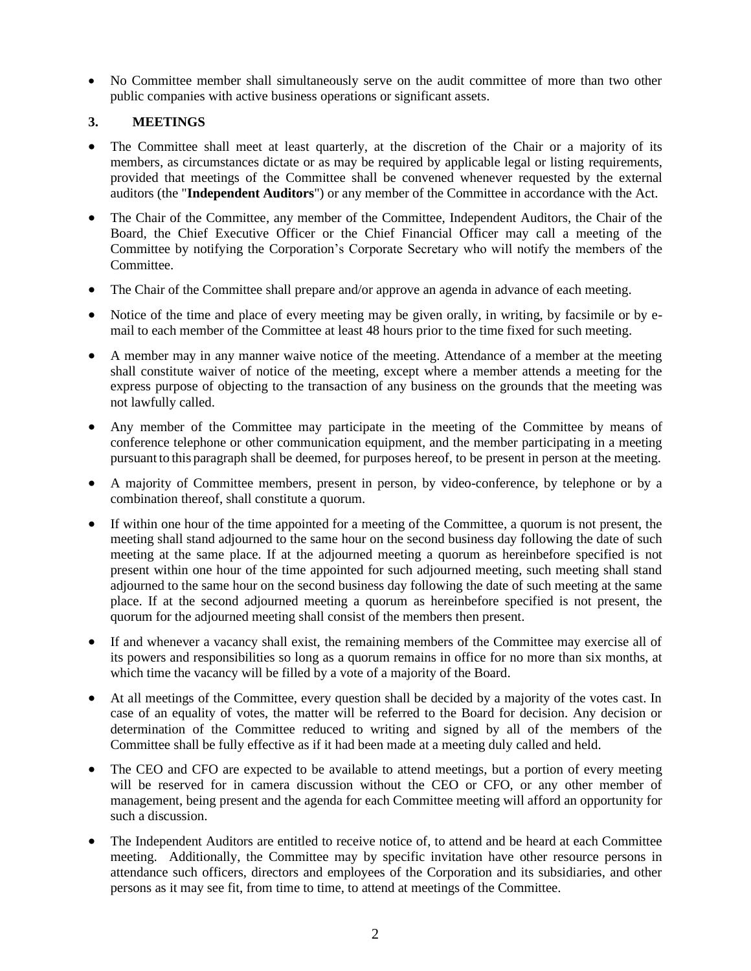• No Committee member shall simultaneously serve on the audit committee of more than two other public companies with active business operations or significant assets.

# **3. MEETINGS**

- The Committee shall meet at least quarterly, at the discretion of the Chair or a majority of its members, as circumstances dictate or as may be required by applicable legal or listing requirements, provided that meetings of the Committee shall be convened whenever requested by the external auditors (the "**Independent Auditors**") or any member of the Committee in accordance with the Act.
- The Chair of the Committee, any member of the Committee, Independent Auditors, the Chair of the Board, the Chief Executive Officer or the Chief Financial Officer may call a meeting of the Committee by notifying the Corporation's Corporate Secretary who will notify the members of the Committee.
- The Chair of the Committee shall prepare and/or approve an agenda in advance of each meeting.
- Notice of the time and place of every meeting may be given orally, in writing, by facsimile or by email to each member of the Committee at least 48 hours prior to the time fixed for such meeting.
- A member may in any manner waive notice of the meeting. Attendance of a member at the meeting shall constitute waiver of notice of the meeting, except where a member attends a meeting for the express purpose of objecting to the transaction of any business on the grounds that the meeting was not lawfully called.
- Any member of the Committee may participate in the meeting of the Committee by means of conference telephone or other communication equipment, and the member participating in a meeting pursuant to this paragraph shall be deemed, for purposes hereof, to be present in person at the meeting.
- A majority of Committee members, present in person, by video-conference, by telephone or by a combination thereof, shall constitute a quorum.
- If within one hour of the time appointed for a meeting of the Committee, a quorum is not present, the meeting shall stand adjourned to the same hour on the second business day following the date of such meeting at the same place. If at the adjourned meeting a quorum as hereinbefore specified is not present within one hour of the time appointed for such adjourned meeting, such meeting shall stand adjourned to the same hour on the second business day following the date of such meeting at the same place. If at the second adjourned meeting a quorum as hereinbefore specified is not present, the quorum for the adjourned meeting shall consist of the members then present.
- If and whenever a vacancy shall exist, the remaining members of the Committee may exercise all of its powers and responsibilities so long as a quorum remains in office for no more than six months, at which time the vacancy will be filled by a vote of a majority of the Board.
- At all meetings of the Committee, every question shall be decided by a majority of the votes cast. In case of an equality of votes, the matter will be referred to the Board for decision. Any decision or determination of the Committee reduced to writing and signed by all of the members of the Committee shall be fully effective as if it had been made at a meeting duly called and held.
- The CEO and CFO are expected to be available to attend meetings, but a portion of every meeting will be reserved for in camera discussion without the CEO or CFO, or any other member of management, being present and the agenda for each Committee meeting will afford an opportunity for such a discussion.
- The Independent Auditors are entitled to receive notice of, to attend and be heard at each Committee meeting. Additionally, the Committee may by specific invitation have other resource persons in attendance such officers, directors and employees of the Corporation and its subsidiaries, and other persons as it may see fit, from time to time, to attend at meetings of the Committee.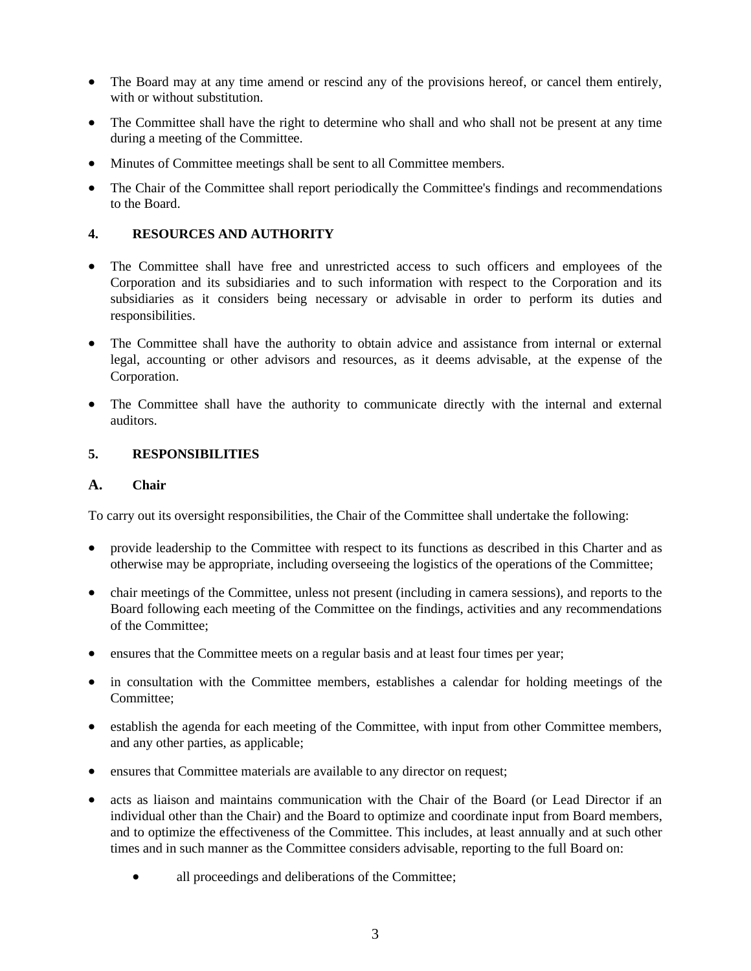- The Board may at any time amend or rescind any of the provisions hereof, or cancel them entirely, with or without substitution.
- The Committee shall have the right to determine who shall and who shall not be present at any time during a meeting of the Committee.
- Minutes of Committee meetings shall be sent to all Committee members.
- The Chair of the Committee shall report periodically the Committee's findings and recommendations to the Board.

# **4. RESOURCES AND AUTHORITY**

- The Committee shall have free and unrestricted access to such officers and employees of the Corporation and its subsidiaries and to such information with respect to the Corporation and its subsidiaries as it considers being necessary or advisable in order to perform its duties and responsibilities.
- The Committee shall have the authority to obtain advice and assistance from internal or external legal, accounting or other advisors and resources, as it deems advisable, at the expense of the Corporation.
- The Committee shall have the authority to communicate directly with the internal and external auditors.

#### **5. RESPONSIBILITIES**

#### **A. Chair**

To carry out its oversight responsibilities, the Chair of the Committee shall undertake the following:

- provide leadership to the Committee with respect to its functions as described in this Charter and as otherwise may be appropriate, including overseeing the logistics of the operations of the Committee;
- chair meetings of the Committee, unless not present (including in camera sessions), and reports to the Board following each meeting of the Committee on the findings, activities and any recommendations of the Committee;
- ensures that the Committee meets on a regular basis and at least four times per year;
- in consultation with the Committee members, establishes a calendar for holding meetings of the Committee;
- establish the agenda for each meeting of the Committee, with input from other Committee members, and any other parties, as applicable;
- ensures that Committee materials are available to any director on request;
- acts as liaison and maintains communication with the Chair of the Board (or Lead Director if an individual other than the Chair) and the Board to optimize and coordinate input from Board members, and to optimize the effectiveness of the Committee. This includes, at least annually and at such other times and in such manner as the Committee considers advisable, reporting to the full Board on:
	- all proceedings and deliberations of the Committee;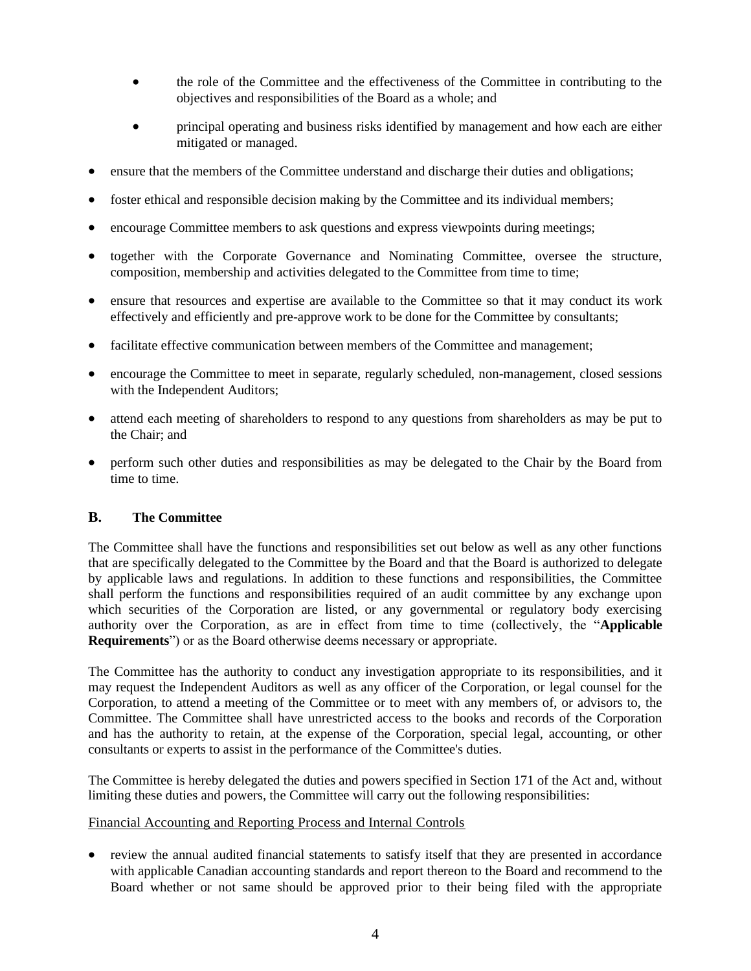- the role of the Committee and the effectiveness of the Committee in contributing to the objectives and responsibilities of the Board as a whole; and
- principal operating and business risks identified by management and how each are either mitigated or managed.
- ensure that the members of the Committee understand and discharge their duties and obligations;
- foster ethical and responsible decision making by the Committee and its individual members;
- encourage Committee members to ask questions and express viewpoints during meetings;
- together with the Corporate Governance and Nominating Committee, oversee the structure, composition, membership and activities delegated to the Committee from time to time;
- ensure that resources and expertise are available to the Committee so that it may conduct its work effectively and efficiently and pre-approve work to be done for the Committee by consultants;
- facilitate effective communication between members of the Committee and management;
- encourage the Committee to meet in separate, regularly scheduled, non-management, closed sessions with the Independent Auditors;
- attend each meeting of shareholders to respond to any questions from shareholders as may be put to the Chair; and
- perform such other duties and responsibilities as may be delegated to the Chair by the Board from time to time.

#### **B. The Committee**

The Committee shall have the functions and responsibilities set out below as well as any other functions that are specifically delegated to the Committee by the Board and that the Board is authorized to delegate by applicable laws and regulations. In addition to these functions and responsibilities, the Committee shall perform the functions and responsibilities required of an audit committee by any exchange upon which securities of the Corporation are listed, or any governmental or regulatory body exercising authority over the Corporation, as are in effect from time to time (collectively, the "**Applicable Requirements**") or as the Board otherwise deems necessary or appropriate.

The Committee has the authority to conduct any investigation appropriate to its responsibilities, and it may request the Independent Auditors as well as any officer of the Corporation, or legal counsel for the Corporation, to attend a meeting of the Committee or to meet with any members of, or advisors to, the Committee. The Committee shall have unrestricted access to the books and records of the Corporation and has the authority to retain, at the expense of the Corporation, special legal, accounting, or other consultants or experts to assist in the performance of the Committee's duties.

The Committee is hereby delegated the duties and powers specified in Section 171 of the Act and, without limiting these duties and powers, the Committee will carry out the following responsibilities:

#### Financial Accounting and Reporting Process and Internal Controls

• review the annual audited financial statements to satisfy itself that they are presented in accordance with applicable Canadian accounting standards and report thereon to the Board and recommend to the Board whether or not same should be approved prior to their being filed with the appropriate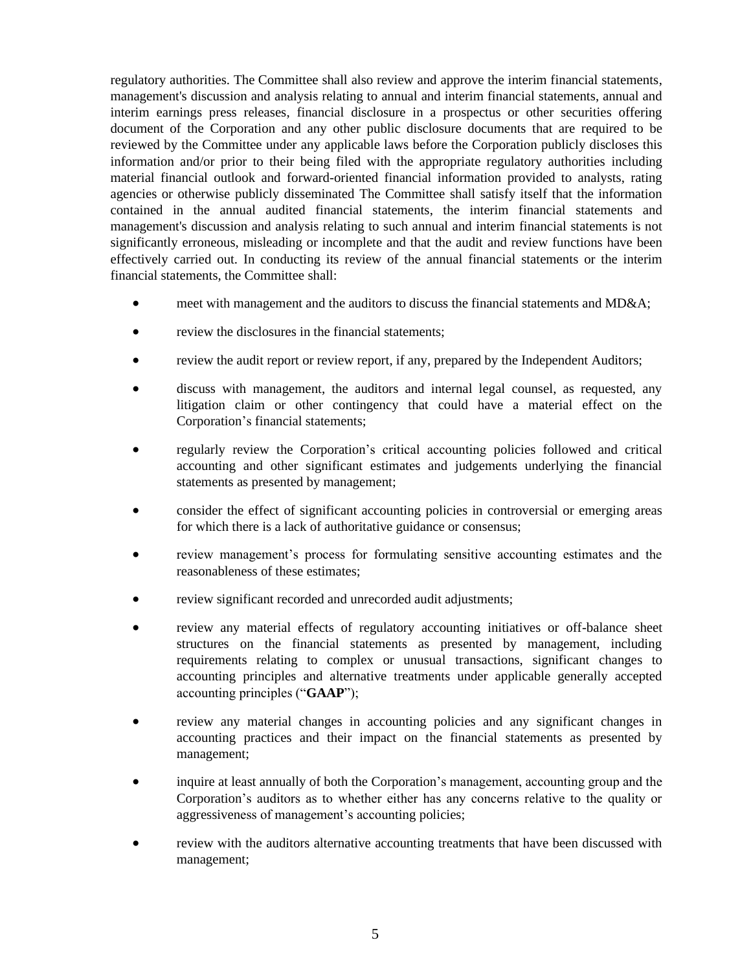regulatory authorities. The Committee shall also review and approve the interim financial statements, management's discussion and analysis relating to annual and interim financial statements, annual and interim earnings press releases, financial disclosure in a prospectus or other securities offering document of the Corporation and any other public disclosure documents that are required to be reviewed by the Committee under any applicable laws before the Corporation publicly discloses this information and/or prior to their being filed with the appropriate regulatory authorities including material financial outlook and forward-oriented financial information provided to analysts, rating agencies or otherwise publicly disseminated The Committee shall satisfy itself that the information contained in the annual audited financial statements, the interim financial statements and management's discussion and analysis relating to such annual and interim financial statements is not significantly erroneous, misleading or incomplete and that the audit and review functions have been effectively carried out. In conducting its review of the annual financial statements or the interim financial statements, the Committee shall:

- meet with management and the auditors to discuss the financial statements and  $MD&A$ ;
- review the disclosures in the financial statements:
- review the audit report or review report, if any, prepared by the Independent Auditors;
- discuss with management, the auditors and internal legal counsel, as requested, any litigation claim or other contingency that could have a material effect on the Corporation's financial statements;
- regularly review the Corporation's critical accounting policies followed and critical accounting and other significant estimates and judgements underlying the financial statements as presented by management;
- consider the effect of significant accounting policies in controversial or emerging areas for which there is a lack of authoritative guidance or consensus;
- review management's process for formulating sensitive accounting estimates and the reasonableness of these estimates;
- review significant recorded and unrecorded audit adjustments;
- review any material effects of regulatory accounting initiatives or off-balance sheet structures on the financial statements as presented by management, including requirements relating to complex or unusual transactions, significant changes to accounting principles and alternative treatments under applicable generally accepted accounting principles ("**GAAP**");
- review any material changes in accounting policies and any significant changes in accounting practices and their impact on the financial statements as presented by management;
- inquire at least annually of both the Corporation's management, accounting group and the Corporation's auditors as to whether either has any concerns relative to the quality or aggressiveness of management's accounting policies;
- review with the auditors alternative accounting treatments that have been discussed with management;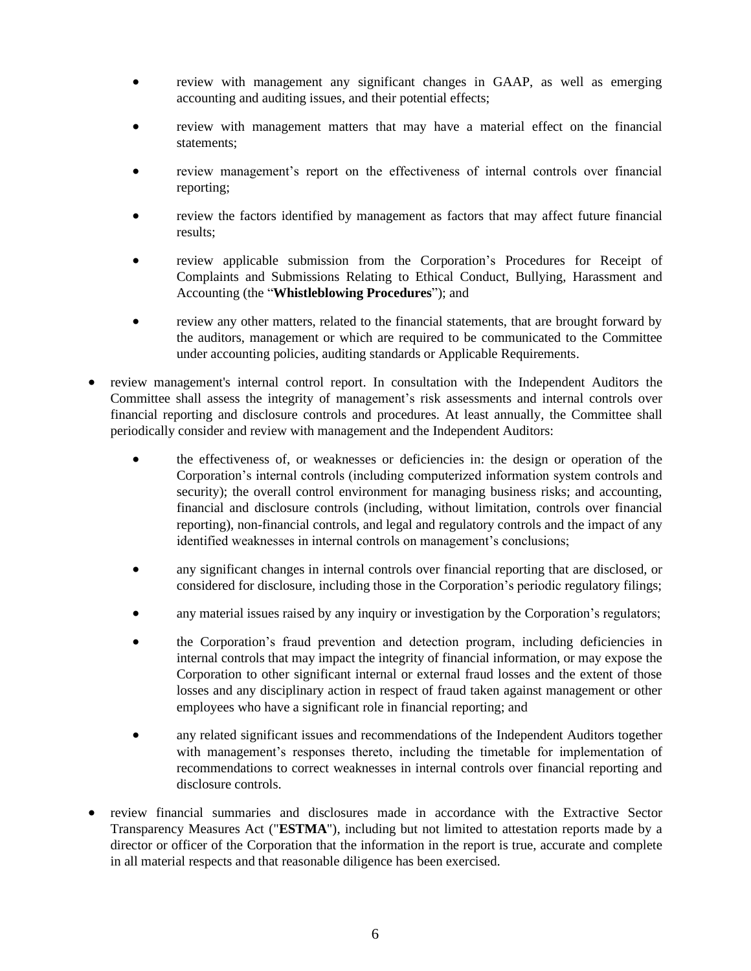- review with management any significant changes in GAAP, as well as emerging accounting and auditing issues, and their potential effects;
- review with management matters that may have a material effect on the financial statements;
- review management's report on the effectiveness of internal controls over financial reporting;
- review the factors identified by management as factors that may affect future financial results;
- review applicable submission from the Corporation's Procedures for Receipt of Complaints and Submissions Relating to Ethical Conduct, Bullying, Harassment and Accounting (the "**Whistleblowing Procedures**"); and
- review any other matters, related to the financial statements, that are brought forward by the auditors, management or which are required to be communicated to the Committee under accounting policies, auditing standards or Applicable Requirements.
- review management's internal control report. In consultation with the Independent Auditors the Committee shall assess the integrity of management's risk assessments and internal controls over financial reporting and disclosure controls and procedures. At least annually, the Committee shall periodically consider and review with management and the Independent Auditors:
	- the effectiveness of, or weaknesses or deficiencies in: the design or operation of the Corporation's internal controls (including computerized information system controls and security); the overall control environment for managing business risks; and accounting, financial and disclosure controls (including, without limitation, controls over financial reporting), non-financial controls, and legal and regulatory controls and the impact of any identified weaknesses in internal controls on management's conclusions;
	- any significant changes in internal controls over financial reporting that are disclosed, or considered for disclosure, including those in the Corporation's periodic regulatory filings;
	- any material issues raised by any inquiry or investigation by the Corporation's regulators;
	- the Corporation's fraud prevention and detection program, including deficiencies in internal controls that may impact the integrity of financial information, or may expose the Corporation to other significant internal or external fraud losses and the extent of those losses and any disciplinary action in respect of fraud taken against management or other employees who have a significant role in financial reporting; and
	- any related significant issues and recommendations of the Independent Auditors together with management's responses thereto, including the timetable for implementation of recommendations to correct weaknesses in internal controls over financial reporting and disclosure controls.
- review financial summaries and disclosures made in accordance with the Extractive Sector Transparency Measures Act ("**ESTMA**"), including but not limited to attestation reports made by a director or officer of the Corporation that the information in the report is true, accurate and complete in all material respects and that reasonable diligence has been exercised.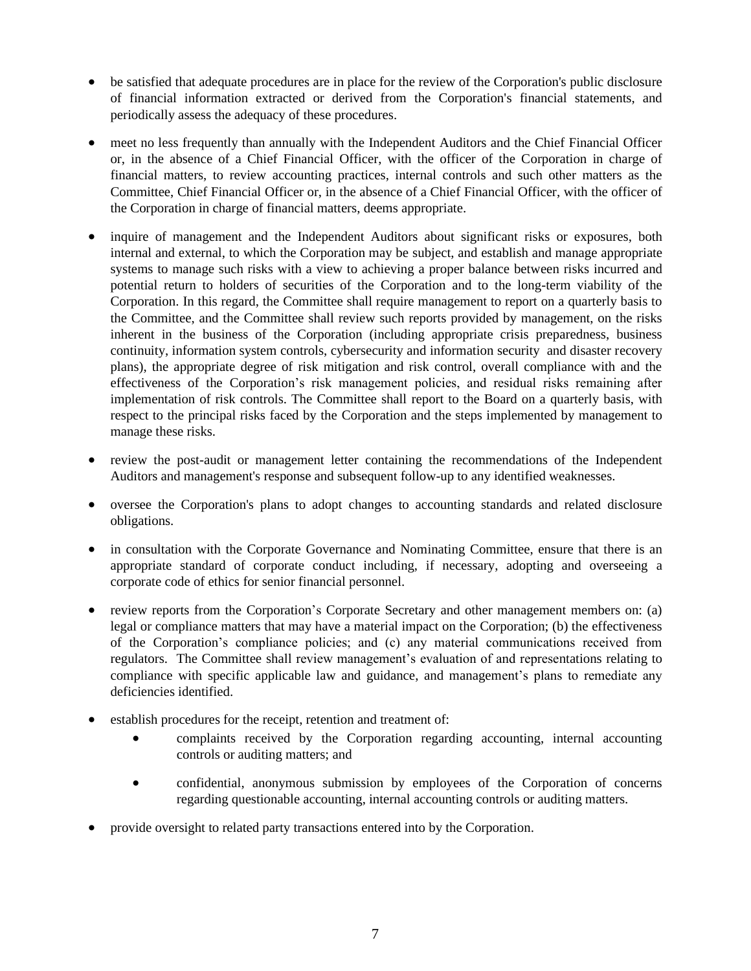- be satisfied that adequate procedures are in place for the review of the Corporation's public disclosure of financial information extracted or derived from the Corporation's financial statements, and periodically assess the adequacy of these procedures.
- meet no less frequently than annually with the Independent Auditors and the Chief Financial Officer or, in the absence of a Chief Financial Officer, with the officer of the Corporation in charge of financial matters, to review accounting practices, internal controls and such other matters as the Committee, Chief Financial Officer or, in the absence of a Chief Financial Officer, with the officer of the Corporation in charge of financial matters, deems appropriate.
- inquire of management and the Independent Auditors about significant risks or exposures, both internal and external, to which the Corporation may be subject, and establish and manage appropriate systems to manage such risks with a view to achieving a proper balance between risks incurred and potential return to holders of securities of the Corporation and to the long-term viability of the Corporation. In this regard, the Committee shall require management to report on a quarterly basis to the Committee, and the Committee shall review such reports provided by management, on the risks inherent in the business of the Corporation (including appropriate crisis preparedness, business continuity, information system controls, cybersecurity and information security and disaster recovery plans), the appropriate degree of risk mitigation and risk control, overall compliance with and the effectiveness of the Corporation's risk management policies, and residual risks remaining after implementation of risk controls. The Committee shall report to the Board on a quarterly basis, with respect to the principal risks faced by the Corporation and the steps implemented by management to manage these risks.
- review the post-audit or management letter containing the recommendations of the Independent Auditors and management's response and subsequent follow-up to any identified weaknesses.
- oversee the Corporation's plans to adopt changes to accounting standards and related disclosure obligations.
- in consultation with the Corporate Governance and Nominating Committee, ensure that there is an appropriate standard of corporate conduct including, if necessary, adopting and overseeing a corporate code of ethics for senior financial personnel.
- review reports from the Corporation's Corporate Secretary and other management members on: (a) legal or compliance matters that may have a material impact on the Corporation; (b) the effectiveness of the Corporation's compliance policies; and (c) any material communications received from regulators. The Committee shall review management's evaluation of and representations relating to compliance with specific applicable law and guidance, and management's plans to remediate any deficiencies identified.
- establish procedures for the receipt, retention and treatment of:
	- complaints received by the Corporation regarding accounting, internal accounting controls or auditing matters; and
	- confidential, anonymous submission by employees of the Corporation of concerns regarding questionable accounting, internal accounting controls or auditing matters.
- provide oversight to related party transactions entered into by the Corporation.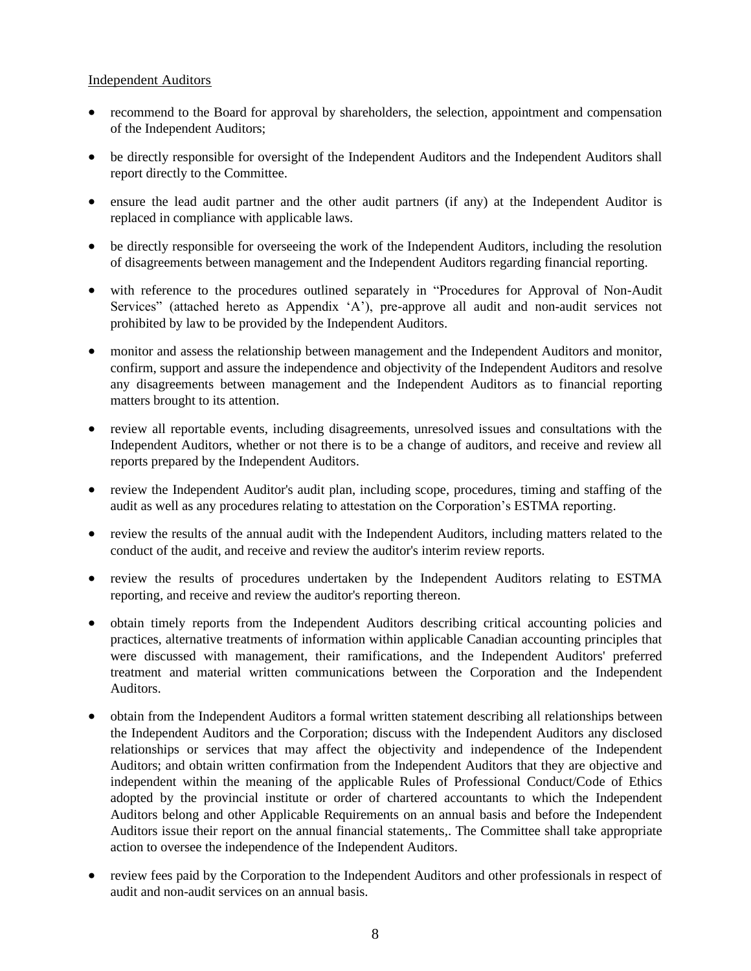### Independent Auditors

- recommend to the Board for approval by shareholders, the selection, appointment and compensation of the Independent Auditors;
- be directly responsible for oversight of the Independent Auditors and the Independent Auditors shall report directly to the Committee.
- ensure the lead audit partner and the other audit partners (if any) at the Independent Auditor is replaced in compliance with applicable laws.
- be directly responsible for overseeing the work of the Independent Auditors, including the resolution of disagreements between management and the Independent Auditors regarding financial reporting.
- with reference to the procedures outlined separately in "Procedures for Approval of Non-Audit Services" (attached hereto as Appendix 'A'), pre-approve all audit and non-audit services not prohibited by law to be provided by the Independent Auditors.
- monitor and assess the relationship between management and the Independent Auditors and monitor, confirm, support and assure the independence and objectivity of the Independent Auditors and resolve any disagreements between management and the Independent Auditors as to financial reporting matters brought to its attention.
- review all reportable events, including disagreements, unresolved issues and consultations with the Independent Auditors, whether or not there is to be a change of auditors, and receive and review all reports prepared by the Independent Auditors.
- review the Independent Auditor's audit plan, including scope, procedures, timing and staffing of the audit as well as any procedures relating to attestation on the Corporation's ESTMA reporting.
- review the results of the annual audit with the Independent Auditors, including matters related to the conduct of the audit, and receive and review the auditor's interim review reports.
- review the results of procedures undertaken by the Independent Auditors relating to ESTMA reporting, and receive and review the auditor's reporting thereon.
- obtain timely reports from the Independent Auditors describing critical accounting policies and practices, alternative treatments of information within applicable Canadian accounting principles that were discussed with management, their ramifications, and the Independent Auditors' preferred treatment and material written communications between the Corporation and the Independent Auditors.
- obtain from the Independent Auditors a formal written statement describing all relationships between the Independent Auditors and the Corporation; discuss with the Independent Auditors any disclosed relationships or services that may affect the objectivity and independence of the Independent Auditors; and obtain written confirmation from the Independent Auditors that they are objective and independent within the meaning of the applicable Rules of Professional Conduct/Code of Ethics adopted by the provincial institute or order of chartered accountants to which the Independent Auditors belong and other Applicable Requirements on an annual basis and before the Independent Auditors issue their report on the annual financial statements,. The Committee shall take appropriate action to oversee the independence of the Independent Auditors.
- review fees paid by the Corporation to the Independent Auditors and other professionals in respect of audit and non-audit services on an annual basis.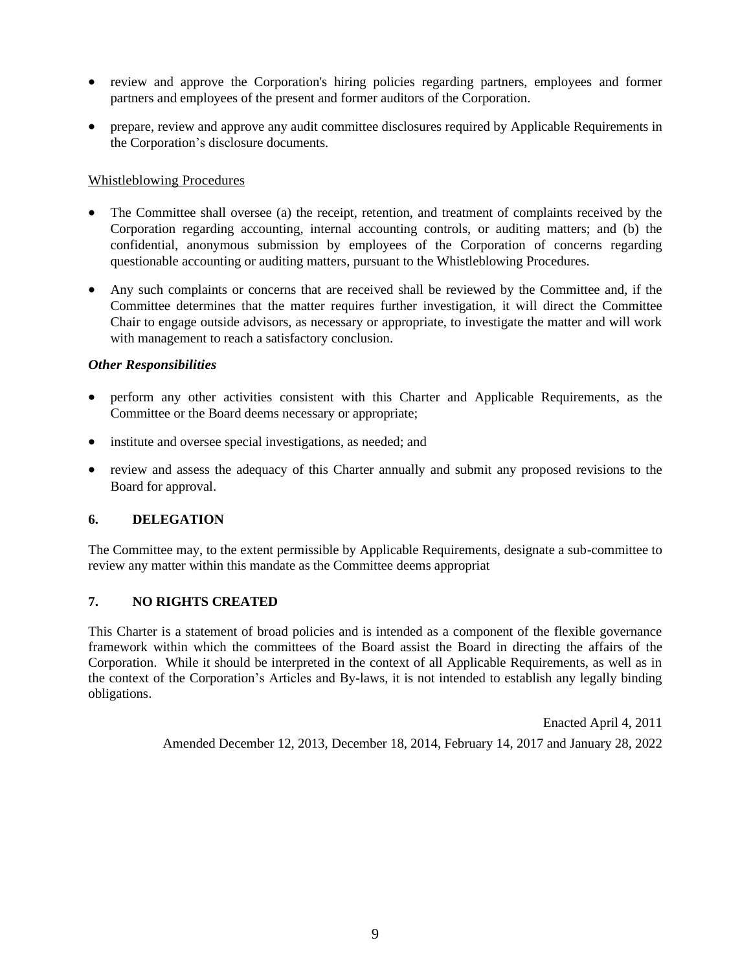- review and approve the Corporation's hiring policies regarding partners, employees and former partners and employees of the present and former auditors of the Corporation.
- prepare, review and approve any audit committee disclosures required by Applicable Requirements in the Corporation's disclosure documents.

### Whistleblowing Procedures

- The Committee shall oversee (a) the receipt, retention, and treatment of complaints received by the Corporation regarding accounting, internal accounting controls, or auditing matters; and (b) the confidential, anonymous submission by employees of the Corporation of concerns regarding questionable accounting or auditing matters, pursuant to the Whistleblowing Procedures.
- Any such complaints or concerns that are received shall be reviewed by the Committee and, if the Committee determines that the matter requires further investigation, it will direct the Committee Chair to engage outside advisors, as necessary or appropriate, to investigate the matter and will work with management to reach a satisfactory conclusion.

#### *Other Responsibilities*

- perform any other activities consistent with this Charter and Applicable Requirements, as the Committee or the Board deems necessary or appropriate;
- institute and oversee special investigations, as needed; and
- review and assess the adequacy of this Charter annually and submit any proposed revisions to the Board for approval.

# **6. DELEGATION**

The Committee may, to the extent permissible by Applicable Requirements, designate a sub-committee to review any matter within this mandate as the Committee deems appropriat

# **7. NO RIGHTS CREATED**

This Charter is a statement of broad policies and is intended as a component of the flexible governance framework within which the committees of the Board assist the Board in directing the affairs of the Corporation. While it should be interpreted in the context of all Applicable Requirements, as well as in the context of the Corporation's Articles and By-laws, it is not intended to establish any legally binding obligations.

> Enacted April 4, 2011 Amended December 12, 2013, December 18, 2014, February 14, 2017 and January 28, 2022